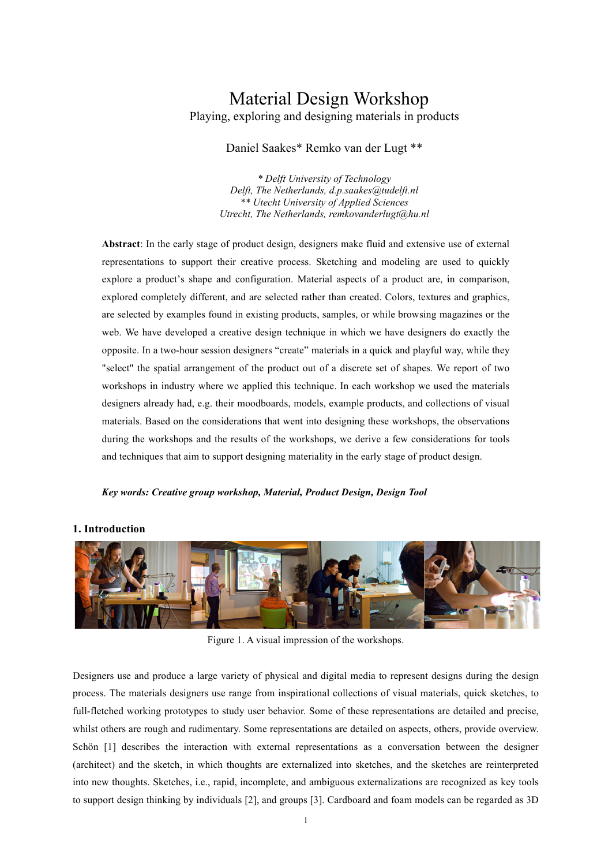# Material Design Workshop Playing, exploring and designing materials in products

# Daniel Saakes\* Remko van der Lugt \*\*

*\* Delft University of Technology Delft, The Netherlands, d.p.saakes@tudelft.nl \*\* Utecht University of Applied Sciences Utrecht, The Netherlands, remkovanderlugt@hu.nl*

**Abstract**: In the early stage of product design, designers make fluid and extensive use of external representations to support their creative process. Sketching and modeling are used to quickly explore a product's shape and configuration. Material aspects of a product are, in comparison, explored completely different, and are selected rather than created. Colors, textures and graphics, are selected by examples found in existing products, samples, or while browsing magazines or the web. We have developed a creative design technique in which we have designers do exactly the opposite. In a two-hour session designers "create" materials in a quick and playful way, while they "select" the spatial arrangement of the product out of a discrete set of shapes. We report of two workshops in industry where we applied this technique. In each workshop we used the materials designers already had, e.g. their moodboards, models, example products, and collections of visual materials. Based on the considerations that went into designing these workshops, the observations during the workshops and the results of the workshops, we derive a few considerations for tools and techniques that aim to support designing materiality in the early stage of product design.

#### *Key words: Creative group workshop, Material, Product Design, Design Tool*



# **1. Introduction**

Figure 1. A visual impression of the workshops.

Designers use and produce a large variety of physical and digital media to represent designs during the design process. The materials designers use range from inspirational collections of visual materials, quick sketches, to full-fletched working prototypes to study user behavior. Some of these representations are detailed and precise, whilst others are rough and rudimentary. Some representations are detailed on aspects, others, provide overview. Schön [1] describes the interaction with external representations as a conversation between the designer (architect) and the sketch, in which thoughts are externalized into sketches, and the sketches are reinterpreted into new thoughts. Sketches, i.e., rapid, incomplete, and ambiguous externalizations are recognized as key tools to support design thinking by individuals [2], and groups [3]. Cardboard and foam models can be regarded as 3D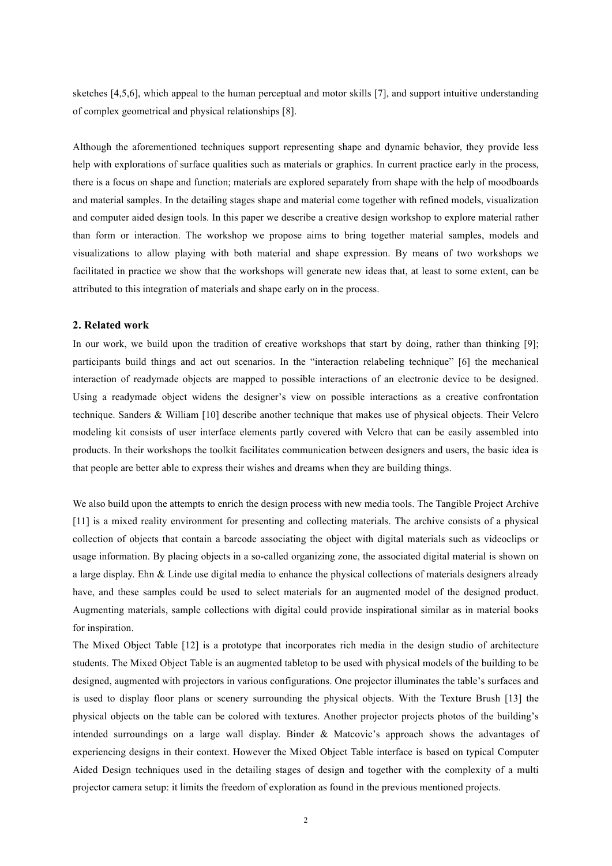sketches [4,5,6], which appeal to the human perceptual and motor skills [7], and support intuitive understanding of complex geometrical and physical relationships [8].

Although the aforementioned techniques support representing shape and dynamic behavior, they provide less help with explorations of surface qualities such as materials or graphics. In current practice early in the process, there is a focus on shape and function; materials are explored separately from shape with the help of moodboards and material samples. In the detailing stages shape and material come together with refined models, visualization and computer aided design tools. In this paper we describe a creative design workshop to explore material rather than form or interaction. The workshop we propose aims to bring together material samples, models and visualizations to allow playing with both material and shape expression. By means of two workshops we facilitated in practice we show that the workshops will generate new ideas that, at least to some extent, can be attributed to this integration of materials and shape early on in the process.

#### **2. Related work**

In our work, we build upon the tradition of creative workshops that start by doing, rather than thinking [9]; participants build things and act out scenarios. In the "interaction relabeling technique" [6] the mechanical interaction of readymade objects are mapped to possible interactions of an electronic device to be designed. Using a readymade object widens the designer's view on possible interactions as a creative confrontation technique. Sanders & William [10] describe another technique that makes use of physical objects. Their Velcro modeling kit consists of user interface elements partly covered with Velcro that can be easily assembled into products. In their workshops the toolkit facilitates communication between designers and users, the basic idea is that people are better able to express their wishes and dreams when they are building things.

We also build upon the attempts to enrich the design process with new media tools. The Tangible Project Archive [11] is a mixed reality environment for presenting and collecting materials. The archive consists of a physical collection of objects that contain a barcode associating the object with digital materials such as videoclips or usage information. By placing objects in a so-called organizing zone, the associated digital material is shown on a large display. Ehn & Linde use digital media to enhance the physical collections of materials designers already have, and these samples could be used to select materials for an augmented model of the designed product. Augmenting materials, sample collections with digital could provide inspirational similar as in material books for inspiration.

The Mixed Object Table [12] is a prototype that incorporates rich media in the design studio of architecture students. The Mixed Object Table is an augmented tabletop to be used with physical models of the building to be designed, augmented with projectors in various configurations. One projector illuminates the table's surfaces and is used to display floor plans or scenery surrounding the physical objects. With the Texture Brush [13] the physical objects on the table can be colored with textures. Another projector projects photos of the building's intended surroundings on a large wall display. Binder & Matcovic's approach shows the advantages of experiencing designs in their context. However the Mixed Object Table interface is based on typical Computer Aided Design techniques used in the detailing stages of design and together with the complexity of a multi projector camera setup: it limits the freedom of exploration as found in the previous mentioned projects.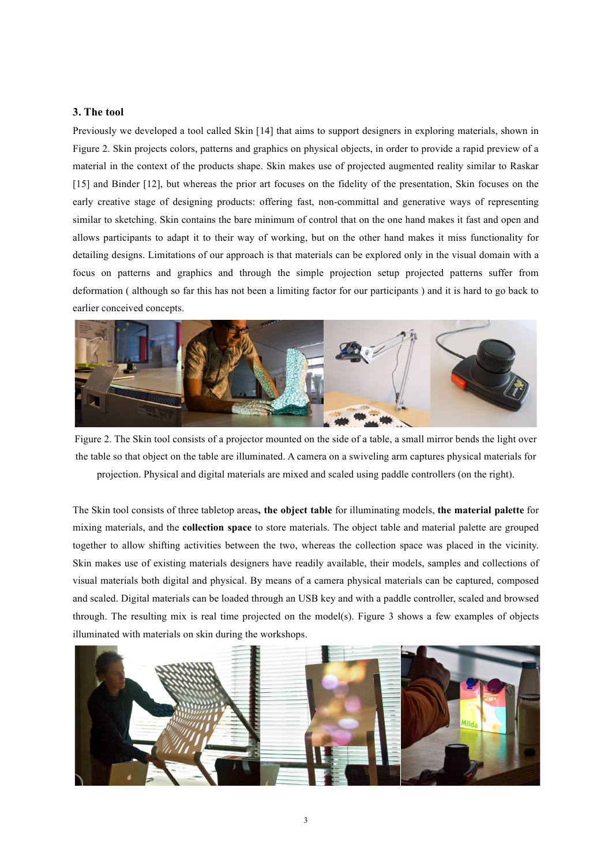# **3. The tool**

Previously we developed a tool called Skin [14] that aims to support designers in exploring materials, shown in Figure 2. Skin projects colors, patterns and graphics on physical objects, in order to provide a rapid preview of a material in the context of the products shape. Skin makes use of projected augmented reality similar to Raskar [15] and Binder [12], but whereas the prior art focuses on the fidelity of the presentation, Skin focuses on the early creative stage of designing products: offering fast, non-committal and generative ways of representing similar to sketching. Skin contains the bare minimum of control that on the one hand makes it fast and open and allows participants to adapt it to their way of working, but on the other hand makes it miss functionality for detailing designs. Limitations of our approach is that materials can be explored only in the visual domain with a focus on patterns and graphics and through the simple projection setup projected patterns suffer from deformation ( although so far this has not been a limiting factor for our participants ) and it is hard to go back to earlier conceived concepts.



Figure 2. The Skin tool consists of a projector mounted on the side of a table, a small mirror bends the light over the table so that object on the table are illuminated. A camera on a swiveling arm captures physical materials for projection. Physical and digital materials are mixed and scaled using paddle controllers (on the right).

The Skin tool consists of three tabletop areas**, the object table** for illuminating models, **the material palette** for mixing materials, and the **collection space** to store materials. The object table and material palette are grouped together to allow shifting activities between the two, whereas the collection space was placed in the vicinity. Skin makes use of existing materials designers have readily available, their models, samples and collections of visual materials both digital and physical. By means of a camera physical materials can be captured, composed and scaled. Digital materials can be loaded through an USB key and with a paddle controller, scaled and browsed through. The resulting mix is real time projected on the model(s). Figure 3 shows a few examples of objects illuminated with materials on skin during the workshops.

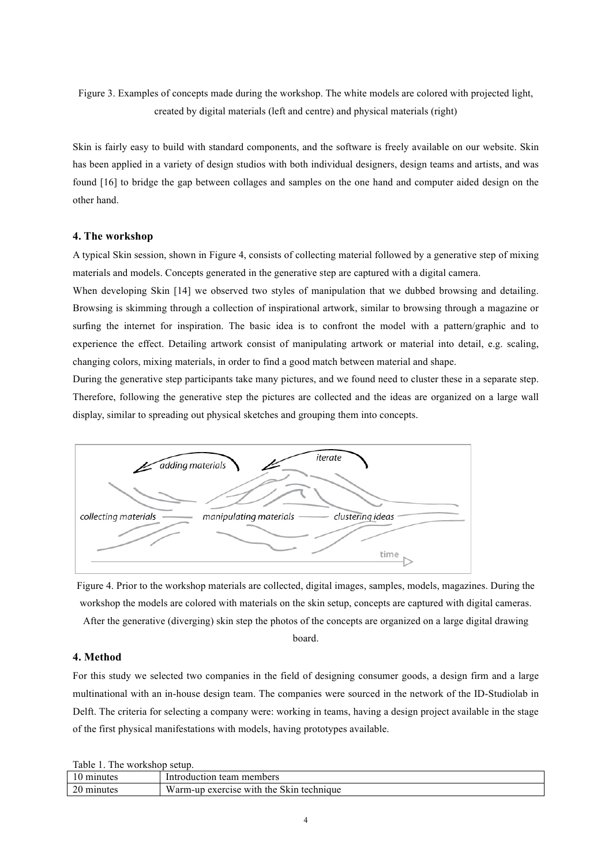Figure 3. Examples of concepts made during the workshop. The white models are colored with projected light, created by digital materials (left and centre) and physical materials (right)

Skin is fairly easy to build with standard components, and the software is freely available on our website. Skin has been applied in a variety of design studios with both individual designers, design teams and artists, and was found [16] to bridge the gap between collages and samples on the one hand and computer aided design on the other hand.

#### **4. The workshop**

A typical Skin session, shown in Figure 4, consists of collecting material followed by a generative step of mixing materials and models. Concepts generated in the generative step are captured with a digital camera.

When developing Skin [14] we observed two styles of manipulation that we dubbed browsing and detailing. Browsing is skimming through a collection of inspirational artwork, similar to browsing through a magazine or surfing the internet for inspiration. The basic idea is to confront the model with a pattern/graphic and to experience the effect. Detailing artwork consist of manipulating artwork or material into detail, e.g. scaling, changing colors, mixing materials, in order to find a good match between material and shape.

During the generative step participants take many pictures, and we found need to cluster these in a separate step. Therefore, following the generative step the pictures are collected and the ideas are organized on a large wall display, similar to spreading out physical sketches and grouping them into concepts.



Figure 4. Prior to the workshop materials are collected, digital images, samples, models, magazines. During the workshop the models are colored with materials on the skin setup, concepts are captured with digital cameras. After the generative (diverging) skin step the photos of the concepts are organized on a large digital drawing

board.

## **4. Method**

For this study we selected two companies in the field of designing consumer goods, a design firm and a large multinational with an in-house design team. The companies were sourced in the network of the ID-Studiolab in Delft. The criteria for selecting a company were: working in teams, having a design project available in the stage of the first physical manifestations with models, having prototypes available.

Table 1. The workshop setup.

| 10            | i team members                           |
|---------------|------------------------------------------|
| minutes       | Introduction                             |
| 20<br>minutes | Warm-up exercise with the Skin technique |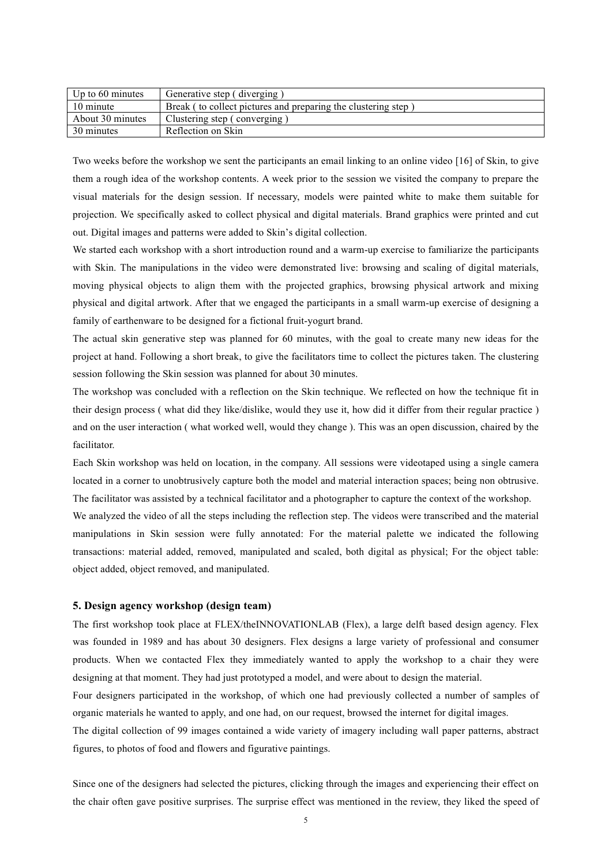| Up to 60 minutes | Generative step (diverging)                                   |
|------------------|---------------------------------------------------------------|
| 10 minute        | Break (to collect pictures and preparing the clustering step) |
| About 30 minutes | Clustering step (converging)                                  |
| 30 minutes       | Reflection on Skin                                            |

Two weeks before the workshop we sent the participants an email linking to an online video [16] of Skin, to give them a rough idea of the workshop contents. A week prior to the session we visited the company to prepare the visual materials for the design session. If necessary, models were painted white to make them suitable for projection. We specifically asked to collect physical and digital materials. Brand graphics were printed and cut out. Digital images and patterns were added to Skin's digital collection.

We started each workshop with a short introduction round and a warm-up exercise to familiarize the participants with Skin. The manipulations in the video were demonstrated live: browsing and scaling of digital materials, moving physical objects to align them with the projected graphics, browsing physical artwork and mixing physical and digital artwork. After that we engaged the participants in a small warm-up exercise of designing a family of earthenware to be designed for a fictional fruit-yogurt brand.

The actual skin generative step was planned for 60 minutes, with the goal to create many new ideas for the project at hand. Following a short break, to give the facilitators time to collect the pictures taken. The clustering session following the Skin session was planned for about 30 minutes.

The workshop was concluded with a reflection on the Skin technique. We reflected on how the technique fit in their design process ( what did they like/dislike, would they use it, how did it differ from their regular practice ) and on the user interaction ( what worked well, would they change ). This was an open discussion, chaired by the facilitator.

Each Skin workshop was held on location, in the company. All sessions were videotaped using a single camera located in a corner to unobtrusively capture both the model and material interaction spaces; being non obtrusive. The facilitator was assisted by a technical facilitator and a photographer to capture the context of the workshop.

We analyzed the video of all the steps including the reflection step. The videos were transcribed and the material manipulations in Skin session were fully annotated: For the material palette we indicated the following transactions: material added, removed, manipulated and scaled, both digital as physical; For the object table: object added, object removed, and manipulated.

### **5. Design agency workshop (design team)**

The first workshop took place at FLEX/theINNOVATIONLAB (Flex), a large delft based design agency. Flex was founded in 1989 and has about 30 designers. Flex designs a large variety of professional and consumer products. When we contacted Flex they immediately wanted to apply the workshop to a chair they were designing at that moment. They had just prototyped a model, and were about to design the material.

Four designers participated in the workshop, of which one had previously collected a number of samples of organic materials he wanted to apply, and one had, on our request, browsed the internet for digital images.

The digital collection of 99 images contained a wide variety of imagery including wall paper patterns, abstract figures, to photos of food and flowers and figurative paintings.

Since one of the designers had selected the pictures, clicking through the images and experiencing their effect on the chair often gave positive surprises. The surprise effect was mentioned in the review, they liked the speed of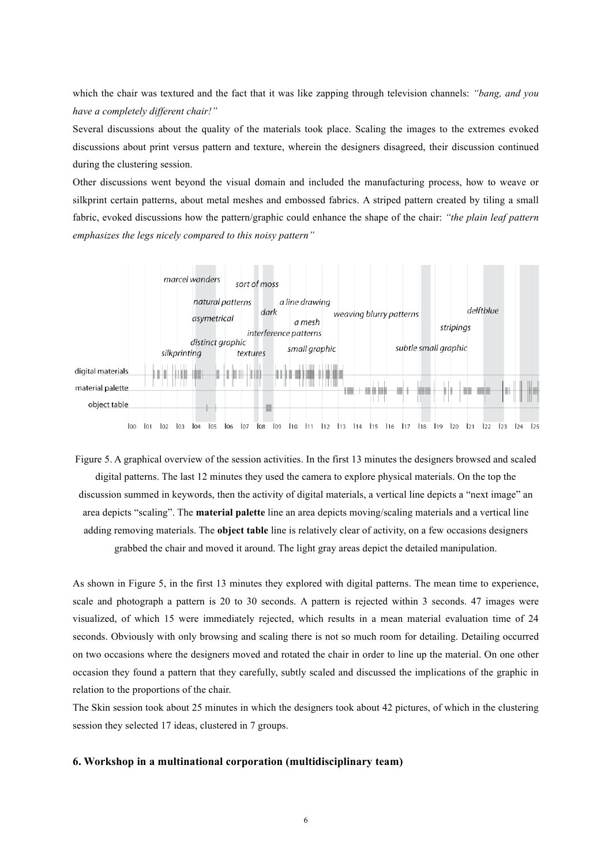which the chair was textured and the fact that it was like zapping through television channels: *"bang, and you have a completely different chair!"*

Several discussions about the quality of the materials took place. Scaling the images to the extremes evoked discussions about print versus pattern and texture, wherein the designers disagreed, their discussion continued during the clustering session.

Other discussions went beyond the visual domain and included the manufacturing process, how to weave or silkprint certain patterns, about metal meshes and embossed fabrics. A striped pattern created by tiling a small fabric, evoked discussions how the pattern/graphic could enhance the shape of the chair: *"the plain leaf pattern emphasizes the legs nicely compared to this noisy pattern"*



Figure 5. A graphical overview of the session activities. In the first 13 minutes the designers browsed and scaled digital patterns. The last 12 minutes they used the camera to explore physical materials. On the top the discussion summed in keywords, then the activity of digital materials, a vertical line depicts a "next image" an area depicts "scaling". The **material palette** line an area depicts moving/scaling materials and a vertical line adding removing materials. The **object table** line is relatively clear of activity, on a few occasions designers grabbed the chair and moved it around. The light gray areas depict the detailed manipulation.

As shown in Figure 5, in the first 13 minutes they explored with digital patterns. The mean time to experience, scale and photograph a pattern is 20 to 30 seconds. A pattern is rejected within 3 seconds. 47 images were visualized, of which 15 were immediately rejected, which results in a mean material evaluation time of 24 seconds. Obviously with only browsing and scaling there is not so much room for detailing. Detailing occurred on two occasions where the designers moved and rotated the chair in order to line up the material. On one other occasion they found a pattern that they carefully, subtly scaled and discussed the implications of the graphic in relation to the proportions of the chair.

The Skin session took about 25 minutes in which the designers took about 42 pictures, of which in the clustering session they selected 17 ideas, clustered in 7 groups.

## **6. Workshop in a multinational corporation (multidisciplinary team)**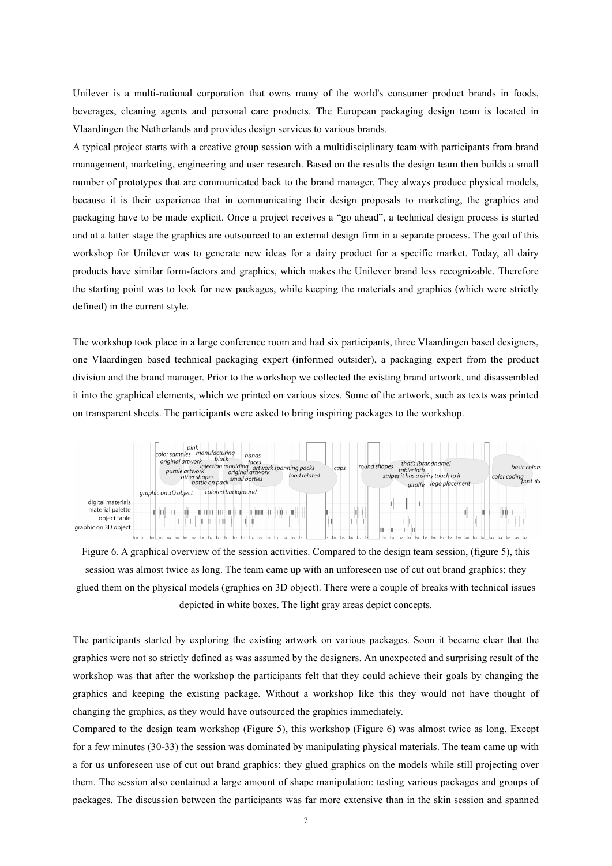Unilever is a multi-national corporation that owns many of the world's consumer product brands in foods, beverages, cleaning agents and personal care products. The European packaging design team is located in Vlaardingen the Netherlands and provides design services to various brands.

A typical project starts with a creative group session with a multidisciplinary team with participants from brand management, marketing, engineering and user research. Based on the results the design team then builds a small number of prototypes that are communicated back to the brand manager. They always produce physical models, because it is their experience that in communicating their design proposals to marketing, the graphics and packaging have to be made explicit. Once a project receives a "go ahead", a technical design process is started and at a latter stage the graphics are outsourced to an external design firm in a separate process. The goal of this workshop for Unilever was to generate new ideas for a dairy product for a specific market. Today, all dairy products have similar form-factors and graphics, which makes the Unilever brand less recognizable. Therefore the starting point was to look for new packages, while keeping the materials and graphics (which were strictly defined) in the current style.

The workshop took place in a large conference room and had six participants, three Vlaardingen based designers, one Vlaardingen based technical packaging expert (informed outsider), a packaging expert from the product division and the brand manager. Prior to the workshop we collected the existing brand artwork, and disassembled it into the graphical elements, which we printed on various sizes. Some of the artwork, such as texts was printed on transparent sheets. The participants were asked to bring inspiring packages to the workshop.



Figure 6. A graphical overview of the session activities. Compared to the design team session, (figure 5), this session was almost twice as long. The team came up with an unforeseen use of cut out brand graphics; they glued them on the physical models (graphics on 3D object). There were a couple of breaks with technical issues depicted in white boxes. The light gray areas depict concepts.

The participants started by exploring the existing artwork on various packages. Soon it became clear that the graphics were not so strictly defined as was assumed by the designers. An unexpected and surprising result of the workshop was that after the workshop the participants felt that they could achieve their goals by changing the graphics and keeping the existing package. Without a workshop like this they would not have thought of changing the graphics, as they would have outsourced the graphics immediately.

Compared to the design team workshop (Figure 5), this workshop (Figure 6) was almost twice as long. Except for a few minutes (30-33) the session was dominated by manipulating physical materials. The team came up with a for us unforeseen use of cut out brand graphics: they glued graphics on the models while still projecting over them. The session also contained a large amount of shape manipulation: testing various packages and groups of packages. The discussion between the participants was far more extensive than in the skin session and spanned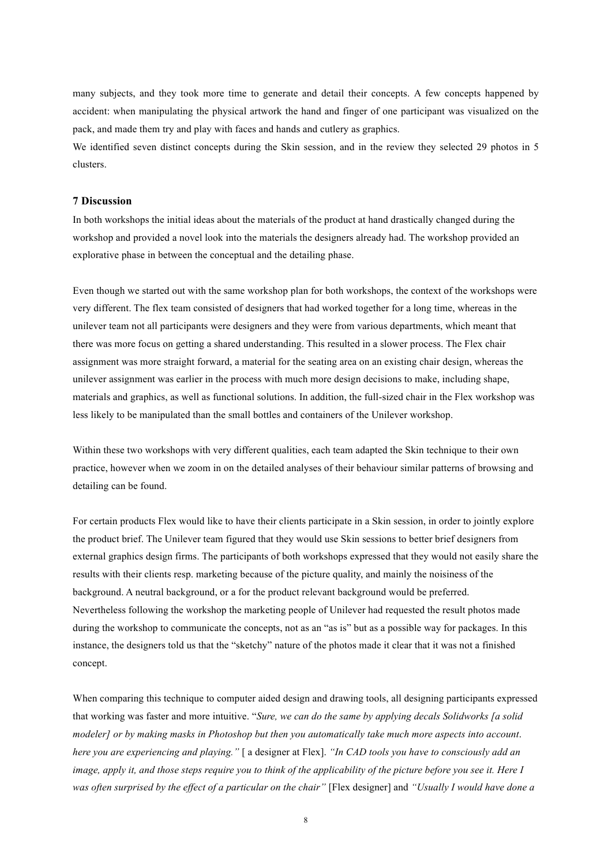many subjects, and they took more time to generate and detail their concepts. A few concepts happened by accident: when manipulating the physical artwork the hand and finger of one participant was visualized on the pack, and made them try and play with faces and hands and cutlery as graphics.

We identified seven distinct concepts during the Skin session, and in the review they selected 29 photos in 5 clusters.

## **7 Discussion**

In both workshops the initial ideas about the materials of the product at hand drastically changed during the workshop and provided a novel look into the materials the designers already had. The workshop provided an explorative phase in between the conceptual and the detailing phase.

Even though we started out with the same workshop plan for both workshops, the context of the workshops were very different. The flex team consisted of designers that had worked together for a long time, whereas in the unilever team not all participants were designers and they were from various departments, which meant that there was more focus on getting a shared understanding. This resulted in a slower process. The Flex chair assignment was more straight forward, a material for the seating area on an existing chair design, whereas the unilever assignment was earlier in the process with much more design decisions to make, including shape, materials and graphics, as well as functional solutions. In addition, the full-sized chair in the Flex workshop was less likely to be manipulated than the small bottles and containers of the Unilever workshop.

Within these two workshops with very different qualities, each team adapted the Skin technique to their own practice, however when we zoom in on the detailed analyses of their behaviour similar patterns of browsing and detailing can be found.

For certain products Flex would like to have their clients participate in a Skin session, in order to jointly explore the product brief. The Unilever team figured that they would use Skin sessions to better brief designers from external graphics design firms. The participants of both workshops expressed that they would not easily share the results with their clients resp. marketing because of the picture quality, and mainly the noisiness of the background. A neutral background, or a for the product relevant background would be preferred. Nevertheless following the workshop the marketing people of Unilever had requested the result photos made during the workshop to communicate the concepts, not as an "as is" but as a possible way for packages. In this instance, the designers told us that the "sketchy" nature of the photos made it clear that it was not a finished concept.

When comparing this technique to computer aided design and drawing tools, all designing participants expressed that working was faster and more intuitive. "*Sure, we can do the same by applying decals Solidworks [a solid modeler] or by making masks in Photoshop but then you automatically take much more aspects into account*. *here you are experiencing and playing."* [ a designer at Flex]. *"In CAD tools you have to consciously add an image, apply it, and those steps require you to think of the applicability of the picture before you see it. Here I was often surprised by the effect of a particular on the chair"* [Flex designer] and *"Usually I would have done a*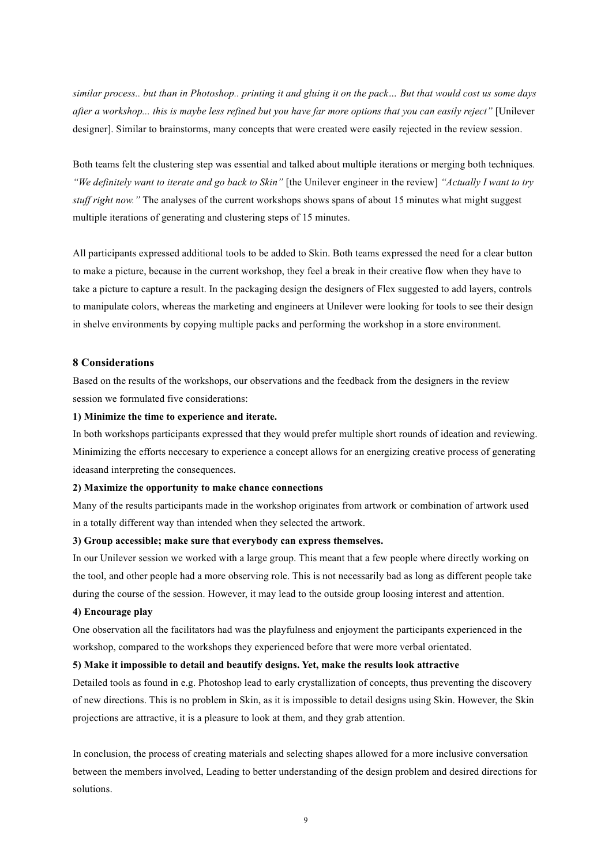*similar process.. but than in Photoshop.. printing it and gluing it on the pack… But that would cost us some days after a workshop... this is maybe less refined but you have far more options that you can easily reject"* [Unilever designer]. Similar to brainstorms, many concepts that were created were easily rejected in the review session.

Both teams felt the clustering step was essential and talked about multiple iterations or merging both techniques*. "We definitely want to iterate and go back to Skin"* [the Unilever engineer in the review] *"Actually I want to try stuff right now.*" The analyses of the current workshops shows spans of about 15 minutes what might suggest multiple iterations of generating and clustering steps of 15 minutes.

All participants expressed additional tools to be added to Skin. Both teams expressed the need for a clear button to make a picture, because in the current workshop, they feel a break in their creative flow when they have to take a picture to capture a result. In the packaging design the designers of Flex suggested to add layers, controls to manipulate colors, whereas the marketing and engineers at Unilever were looking for tools to see their design in shelve environments by copying multiple packs and performing the workshop in a store environment.

## **8 Considerations**

Based on the results of the workshops, our observations and the feedback from the designers in the review session we formulated five considerations:

# **1) Minimize the time to experience and iterate.**

In both workshops participants expressed that they would prefer multiple short rounds of ideation and reviewing. Minimizing the efforts neccesary to experience a concept allows for an energizing creative process of generating ideasand interpreting the consequences.

#### **2) Maximize the opportunity to make chance connections**

Many of the results participants made in the workshop originates from artwork or combination of artwork used in a totally different way than intended when they selected the artwork.

### **3) Group accessible; make sure that everybody can express themselves.**

In our Unilever session we worked with a large group. This meant that a few people where directly working on the tool, and other people had a more observing role. This is not necessarily bad as long as different people take during the course of the session. However, it may lead to the outside group loosing interest and attention.

# **4) Encourage play**

One observation all the facilitators had was the playfulness and enjoyment the participants experienced in the workshop, compared to the workshops they experienced before that were more verbal orientated.

#### **5) Make it impossible to detail and beautify designs. Yet, make the results look attractive**

Detailed tools as found in e.g. Photoshop lead to early crystallization of concepts, thus preventing the discovery of new directions. This is no problem in Skin, as it is impossible to detail designs using Skin. However, the Skin projections are attractive, it is a pleasure to look at them, and they grab attention.

In conclusion, the process of creating materials and selecting shapes allowed for a more inclusive conversation between the members involved, Leading to better understanding of the design problem and desired directions for solutions.